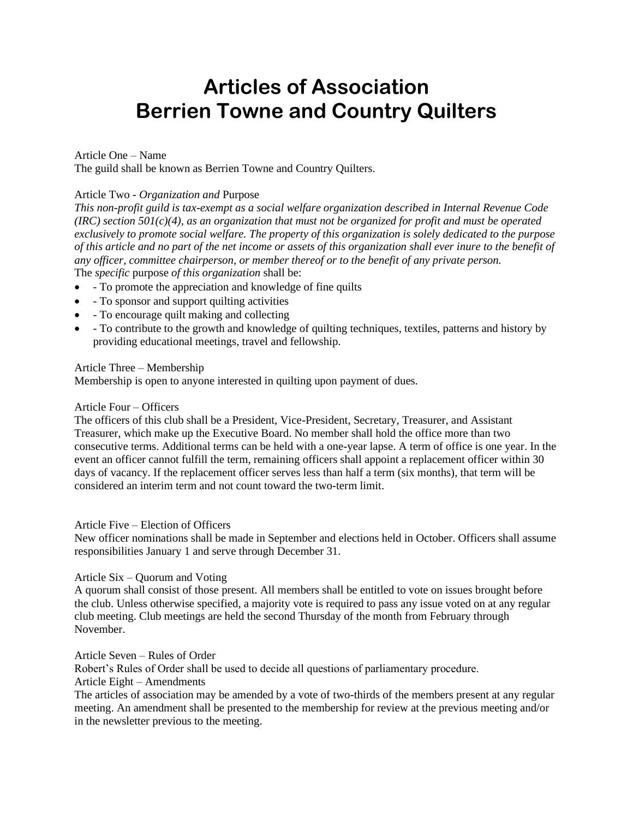# **Articles of Association Berrien Towne and Country Quilters**

# Article One – Name

The guild shall be known as Berrien Towne and Country Quilters.

# Article Two - *Organization and* Purpose

*This non-profit guild is tax-exempt as a social welfare organization described in Internal Revenue Code (IRC) section 501(c)(4), as an organization that must not be organized for profit and must be operated exclusively to promote social welfare. The property of this organization is solely dedicated to the purpose of this article and no part of the net income or assets of this organization shall ever inure to the benefit of any officer, committee chairperson, or member thereof or to the benefit of any private person.* The *specific* purpose *of this organization* shall be:

- - To promote the appreciation and knowledge of fine quilts
- - To sponsor and support quilting activities
- - To encourage quilt making and collecting
- - To contribute to the growth and knowledge of quilting techniques, textiles, patterns and history by providing educational meetings, travel and fellowship.

## Article Three – Membership

Membership is open to anyone interested in quilting upon payment of dues.

#### Article Four – Officers

The officers of this club shall be a President, Vice-President, Secretary, Treasurer, and Assistant Treasurer, which make up the Executive Board. No member shall hold the office more than two consecutive terms. Additional terms can be held with a one-year lapse. A term of office is one year. In the event an officer cannot fulfill the term, remaining officers shall appoint a replacement officer within 30 days of vacancy. If the replacement officer serves less than half a term (six months), that term will be considered an interim term and not count toward the two-term limit.

## Article Five – Election of Officers

New officer nominations shall be made in September and elections held in October. Officers shall assume responsibilities January 1 and serve through December 31.

## Article Six – Quorum and Voting

A quorum shall consist of those present. All members shall be entitled to vote on issues brought before the club. Unless otherwise specified, a majority vote is required to pass any issue voted on at any regular club meeting. Club meetings are held the second Thursday of the month from February through November.

## Article Seven – Rules of Order

Robert's Rules of Order shall be used to decide all questions of parliamentary procedure.

# Article Eight – Amendments

The articles of association may be amended by a vote of two-thirds of the members present at any regular meeting. An amendment shall be presented to the membership for review at the previous meeting and/or in the newsletter previous to the meeting.